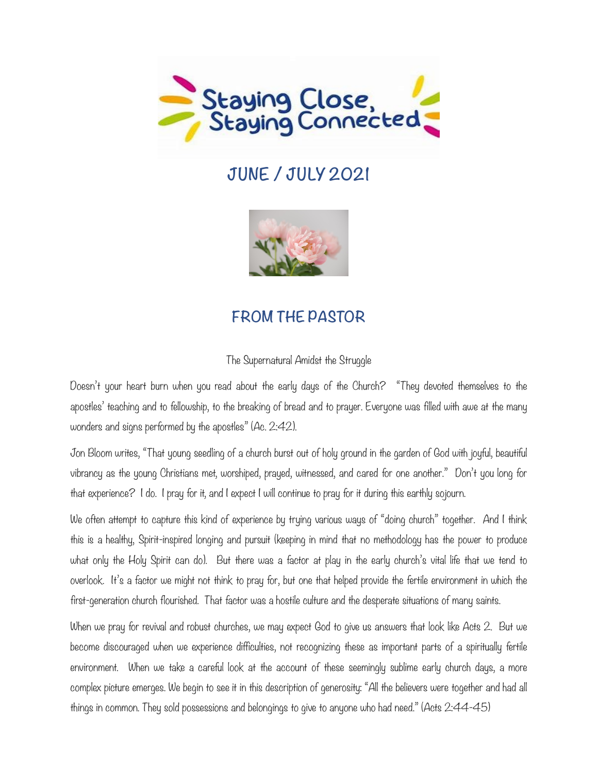

# **JUNE / JULY 2021**



# **FROM THE PASTOR**

#### The Supernatural Amidst the Struggle

Doesn't your heart burn when you read about the early days of the Church? "They devoted themselves to the apostles' teaching and to fellowship, to the breaking of bread and to prayer. Everyone was filled with awe at the many wonders and signs performed by the apostles" (Ac. 2:42).

Jon Bloom writes, "That young seedling of a church burst out of holy ground in the garden of God with joyful, beautiful vibrancy as the young Christians met, worshiped, prayed, witnessed, and cared for one another." Don't you long for that experience? I do. I pray for it, and I expect I will continue to pray for it during this earthly sojourn.

We often attempt to capture this kind of experience by trying various ways of "doing church" together. And I think this is a healthy, Spirit-inspired longing and pursuit (keeping in mind that no methodology has the power to produce what only the Holy Spirit can do). But there was a factor at play in the early church's vital life that we tend to overlook. It's a factor we might not think to pray for, but one that helped provide the fertile environment in which the first-generation church flourished. That factor was a hostile culture and the desperate situations of many saints.

When we pray for revival and robust churches, we may expect God to give us answers that look like Acts 2. But we become discouraged when we experience difficulties, not recognizing these as important parts of a spiritually fertile environment. When we take a careful look at the account of these seemingly sublime early church days, a more complex picture emerges. We begin to see it in this description of generosity: "All the believers were together and had all things in common. They sold possessions and belongings to give to anyone who had need." (Acts 2:44-45)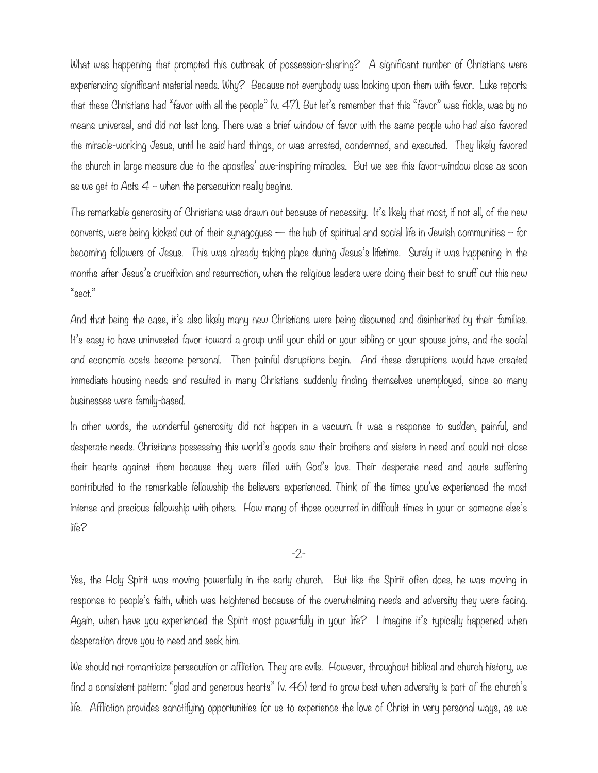What was happening that prompted this outbreak of possession-sharing? A significant number of Christians were experiencing significant material needs. Why? Because not everybody was looking upon them with favor. Luke reports that these Christians had "favor with all the people" (v. 47). But let's remember that this "favor" was fickle, was by no means universal, and did not last long. There was a brief window of favor with the same people who had also favored the miracle-working Jesus, until he said hard things, or was arrested, condemned, and executed. They likely favored the church in large measure due to the apostles' awe-inspiring miracles. But we see this favor-window close as soon as we get to Acts  $4$  – when the persecution really begins.

The remarkable generosity of Christians was drawn out because of necessity. It's likely that most, if not all, of the new converts, were being kicked out of their synagogues  $-$  the hub of spiritual and social life in Jewish communities  $-$  for becoming followers of Jesus. This was already taking place during Jesus's lifetime. Surely it was happening in the months after Jesus's crucifixion and resurrection, when the religious leaders were doing their best to snuff out this new "sect."

And that being the case, it's also likely many new Christians were being disowned and disinherited by their families. It's easy to have uninvested favor toward a group until your child or your sibling or your spouse joins, and the social and economic costs become personal. Then painful disruptions begin. And these disruptions would have created immediate housing needs and resulted in many Christians suddenly finding themselves unemployed, since so many businesses were family-based.

In other words, the wonderful generosity did not happen in a vacuum. It was a response to sudden, painful, and desperate needs. Christians possessing this world's goods saw their brothers and sisters in need and could not close their hearts against them because they were filled with God's love. Their desperate need and acute suffering contributed to the remarkable fellowship the believers experienced. Think of the times you've experienced the most intense and precious fellowship with others. How many of those occurred in difficult times in your or someone else's life?

-2-

Yes, the Holy Spirit was moving powerfully in the early church. But like the Spirit often does, he was moving in response to people's faith, which was heightened because of the overwhelming needs and adversity they were facing. Again, when have you experienced the Spirit most powerfully in your life? I imagine it's typically happened when desperation drove you to need and seek him.

We should not romanticize persecution or affliction. They are evils. However, throughout biblical and church history, we find a consistent pattern: "glad and generous hearts" (v. 46) tend to grow best when adversity is part of the church's life. Affliction provides sanctifying opportunities for us to experience the love of Christ in very personal ways, as we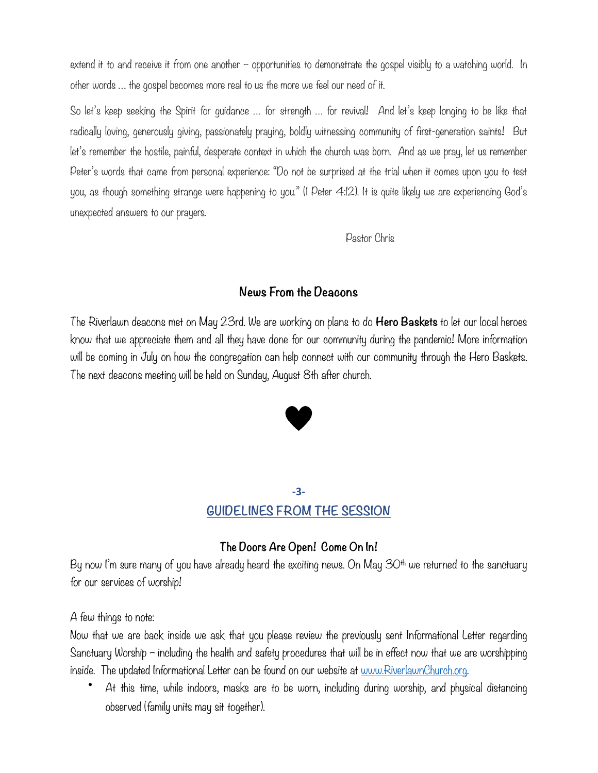extend it to and receive it from one another – opportunities to demonstrate the gospel visibly to a watching world. In other words … the gospel becomes more real to us the more we feel our need of it.

So let's keep seeking the Spirit for guidance … for strength … for revival! And let's keep longing to be like that radically loving, generously giving, passionately praying, boldly witnessing community of first-generation saints! But let's remember the hostile, painful, desperate context in which the church was born. And as we pray, let us remember Peter's words that came from personal experience: "Do not be surprised at the trial when it comes upon you to test you, as though something strange were happening to you." (1 Peter 4:12). It is quite likely we are experiencing God's [unexpected answers](https://www.desiringgod.org/articles/the-unexpected-answers-of-god) to our prayers.

Pastor Chris

### **News From the Deacons**

The Riverlawn deacons met on May 23rd. We are working on plans to do **Hero Baskets** to let our local heroes know that we appreciate them and all they have done for our community during the pandemic! More information will be coming in July on how the congregation can help connect with our community through the Hero Baskets. The next deacons meeting will be held on Sunday, August 8th after church.



### **-3- GUIDELINES FROM THE SESSION**

### **The Doors Are Open! Come On In!**

By now I'm sure many of you have already heard the exciting news. On May  $30<sup>th</sup>$  we returned to the sanctuary for our services of worship!

A few things to note:

Now that we are back inside we ask that you please review the previously sent Informational Letter regarding Sanctuary Worship – including the health and safety procedures that will be in effect now that we are worshipping inside. The updated Informational Letter can be found on our website at <u>[www.RiverlawnChurch.org](http://www.RiverlawnChurch.org)</u>.

• At this time, while indoors, masks are to be worn, including during worship, and physical distancing observed (family units may sit together).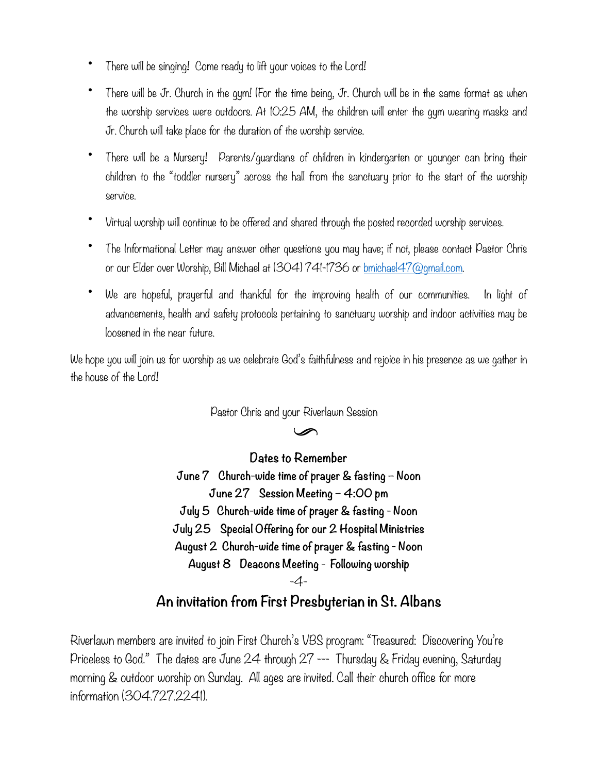- There will be singing! Come ready to lift your voices to the Lord!
- There will be Jr. Church in the gym! (For the time being, Jr. Church will be in the same format as when the worship services were outdoors. At 10:25 AM, the children will enter the gym wearing masks and Jr. Church will take place for the duration of the worship service.
- There will be a Nursery! Parents/guardians of children in kindergarten or younger can bring their children to the "toddler nursery" across the hall from the sanctuary prior to the start of the worship service.
- Virtual worship will continue to be offered and shared through the posted recorded worship services.
- The Informational Letter may answer other questions you may have; if not, please contact Pastor Chris or our Elder over Worship, Bill Michael at (304) 741-1736 or [bmichael47@gmail.com.](mailto:bmichael47@gmail.com)
- We are hopeful, prayerful and thankful for the improving health of our communities. In light of advancements, health and safety protocols pertaining to sanctuary worship and indoor activities may be loosened in the near future.

We hope you will join us for worship as we celebrate God's faithfulness and rejoice in his presence as we gather in the house of the Lord!

Pastor Chris and your Riverlawn Session

 $\mathscr{D}$ 

**Dates to Remember June 7 Church-wide time of prayer & fasting – Noon June 27 Session Meeting – 4:00 pm July 5 Church-wide time of prayer & fasting - Noon July 25 Special Offering for our 2 Hospital Ministries August 2 Church-wide time of prayer & fasting - Noon August 8 Deacons Meeting - Following worship** -4-

## **An invitation from First Presbyterian in St. Albans**

Riverlawn members are invited to join First Church's VBS program: "Treasured: Discovering You're Priceless to God." The dates are June 24 through 27 --- Thursday & Friday evening, Saturday morning & outdoor worship on Sunday. All ages are invited. Call their church office for more information (304.727.2241).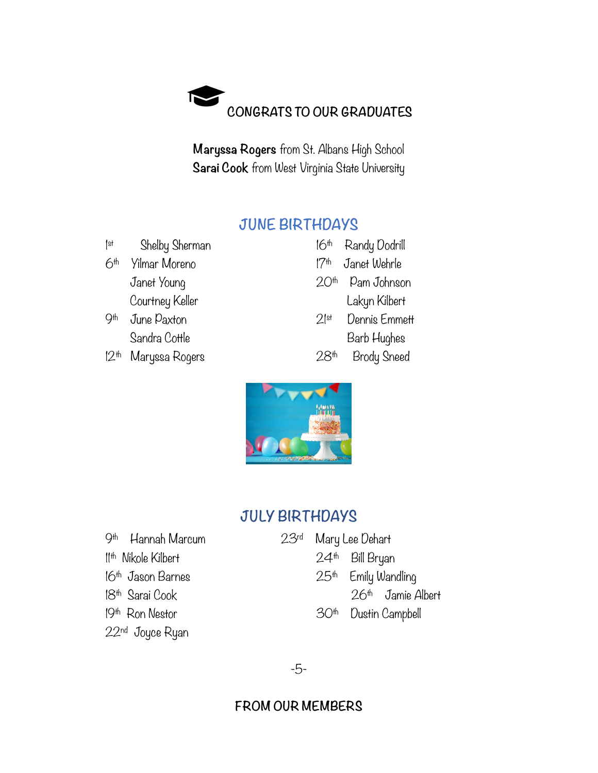

**Maryssa Rogers** from St. Albans High School **Sarai Cook** from West Virginia State University

### **JUNE BIRTHDAYS**

1 Shelby Sherman 6<sup>th</sup> Yilmar Moreno Janet Young Courtney Keller 9<sup>th</sup> June Paxton

Sandra Cottle

12<sup>th</sup> Maryssa Rogers 28<sup>th</sup> Brody

| 16th             | Randy Dodrill |
|------------------|---------------|
| 17 <sup>th</sup> | Janet Wehrle  |
| 20th             | Pam Johnson   |
|                  | Lakyn Kilbert |
| $2$ st           | Dennis Emmett |
|                  | Barb Hughes   |
|                  | Brodu Sneed   |



# **JULY BIRTHDAYS**

| 9 <sup>th</sup> Hannah Marcum  | 23 <sup>rd</sup> | Mary Lee Dehart  |                       |  |
|--------------------------------|------------------|------------------|-----------------------|--|
| I <sup>th</sup> Nikole Kilbert |                  |                  | $24th$ Bill Bryan     |  |
| $16th$ Jason Barnes            |                  |                  | $25th$ Emily Wandling |  |
| 18 <sup>th</sup> Sarai Cook    |                  |                  | $26th$ Jamie Albert   |  |
| $19th$ Ron Nestor              |                  | 30 <sup>th</sup> | Dustin Campbell       |  |
| 22nd Joyce Ryan                |                  |                  |                       |  |

-5-

## **FROM OUR MEMBERS**